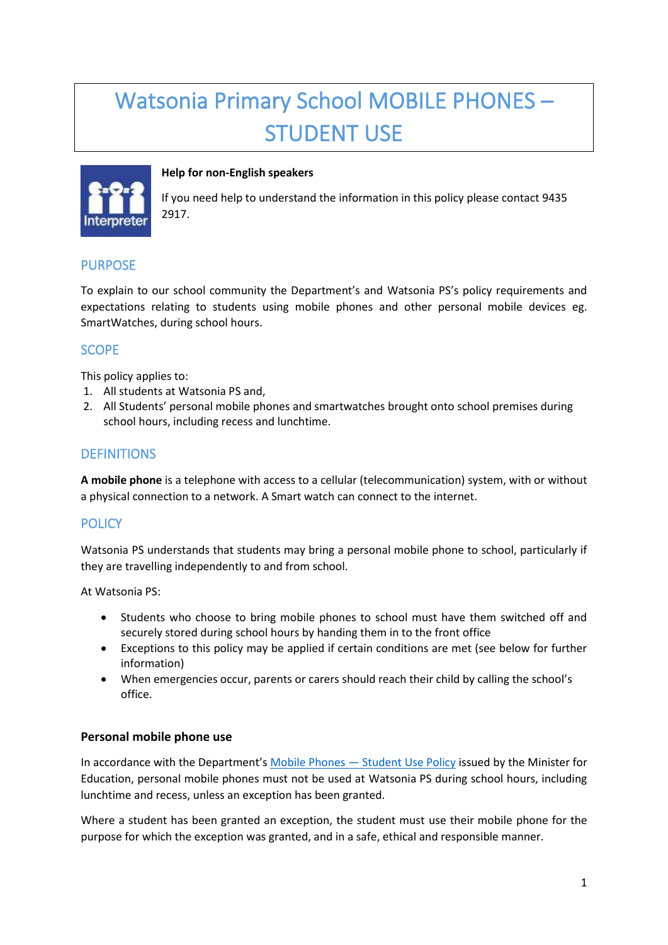# Watsonia Primary School MOBILE PHONES – STUDENT USE



## **Help for non-English speakers**

If you need help to understand the information in this policy please contact 9435 2917.

# PURPOSE

To explain to our school community the Department's and Watsonia PS's policy requirements and expectations relating to students using mobile phones and other personal mobile devices eg. SmartWatches, during school hours.

# **SCOPE**

This policy applies to:

- 1. All students at Watsonia PS and,
- 2. All Students' personal mobile phones and smartwatches brought onto school premises during school hours, including recess and lunchtime.

## **DEFINITIONS**

**A mobile phone** is a telephone with access to a cellular (telecommunication) system, with or without a physical connection to a network. A Smart watch can connect to the internet.

# **POLICY**

Watsonia PS understands that students may bring a personal mobile phone to school, particularly if they are travelling independently to and from school.

At Watsonia PS:

- Students who choose to bring mobile phones to school must have them switched off and securely stored during school hours by handing them in to the front office
- Exceptions to this policy may be applied if certain conditions are met (see below for further information)
- When emergencies occur, parents or carers should reach their child by calling the school's office.

## **Personal mobile phone use**

In accordance with the Department's [Mobile Phones](https://www2.education.vic.gov.au/pal/students-using-mobile-phones/policy) - Student Use Policy issued by the Minister for Education, personal mobile phones must not be used at Watsonia PS during school hours, including lunchtime and recess, unless an exception has been granted.

Where a student has been granted an exception, the student must use their mobile phone for the purpose for which the exception was granted, and in a safe, ethical and responsible manner.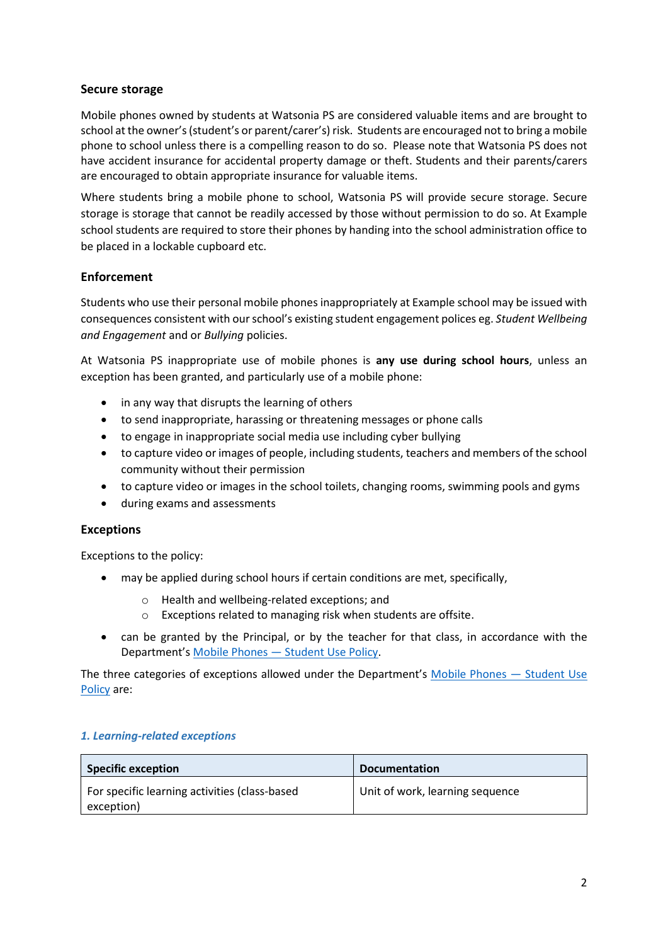## **Secure storage**

Mobile phones owned by students at Watsonia PS are considered valuable items and are brought to school at the owner's (student's or parent/carer's) risk. Students are encouraged not to bring a mobile phone to school unless there is a compelling reason to do so. Please note that Watsonia PS does not have accident insurance for accidental property damage or theft. Students and their parents/carers are encouraged to obtain appropriate insurance for valuable items.

Where students bring a mobile phone to school, Watsonia PS will provide secure storage. Secure storage is storage that cannot be readily accessed by those without permission to do so. At Example school students are required to store their phones by handing into the school administration office to be placed in a lockable cupboard etc.

## **Enforcement**

Students who use their personal mobile phones inappropriately at Example school may be issued with consequences consistent with our school's existing student engagement polices eg. *Student Wellbeing and Engagement* and or *Bullying* policies.

At Watsonia PS inappropriate use of mobile phones is **any use during school hours**, unless an exception has been granted, and particularly use of a mobile phone:

- in any way that disrupts the learning of others
- to send inappropriate, harassing or threatening messages or phone calls
- to engage in inappropriate social media use including cyber bullying
- to capture video or images of people, including students, teachers and members of the school community without their permission
- to capture video or images in the school toilets, changing rooms, swimming pools and gyms
- during exams and assessments

## **Exceptions**

Exceptions to the policy:

- may be applied during school hours if certain conditions are met, specifically,
	- o Health and wellbeing-related exceptions; and
	- o Exceptions related to managing risk when students are offsite.
- can be granted by the Principal, or by the teacher for that class, in accordance with the Department's Mobile Phones — [Student Use Policy.](https://www2.education.vic.gov.au/pal/students-using-mobile-phones/policy)

The three categories of exceptions allowed under the Department's [Mobile Phones](https://www2.education.vic.gov.au/pal/students-using-mobile-phones/policy) — Student Use [Policy](https://www2.education.vic.gov.au/pal/students-using-mobile-phones/policy) are:

#### *1. Learning-related exceptions*

| <b>Specific exception</b>                                   | <b>Documentation</b>            |
|-------------------------------------------------------------|---------------------------------|
| For specific learning activities (class-based<br>exception) | Unit of work, learning sequence |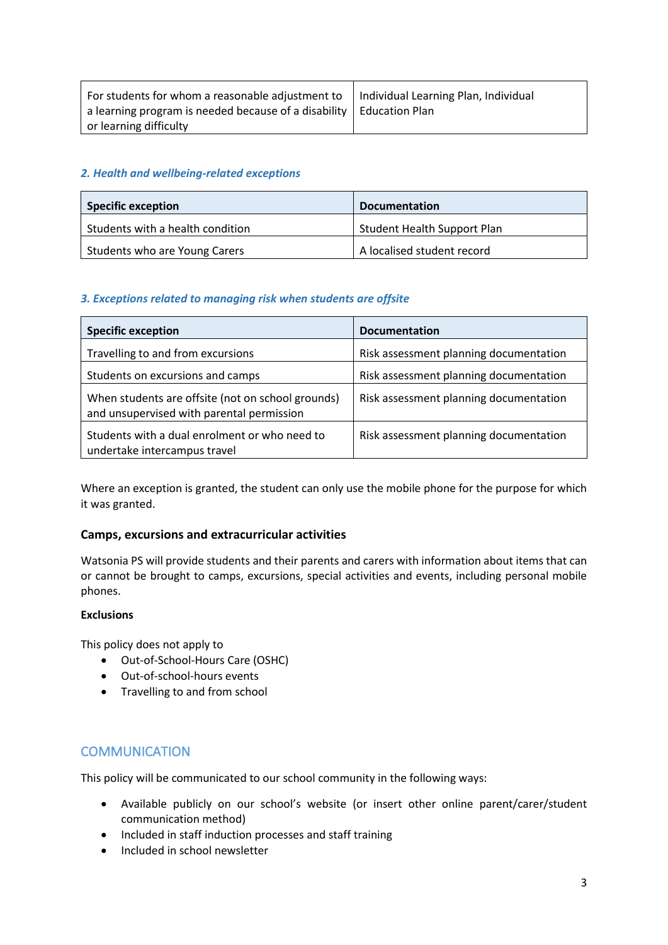| For students for whom a reasonable adjustment to $\parallel$ Individual Learning Plan, Individual |  |
|---------------------------------------------------------------------------------------------------|--|
| a learning program is needed because of a disability   Education Plan                             |  |
| or learning difficulty                                                                            |  |

#### *2. Health and wellbeing-related exceptions*

| <b>Specific exception</b>        | <b>Documentation</b>        |
|----------------------------------|-----------------------------|
| Students with a health condition | Student Health Support Plan |
| Students who are Young Carers    | A localised student record  |

#### *3. Exceptions related to managing risk when students are offsite*

| <b>Specific exception</b>                                                                      | <b>Documentation</b>                   |
|------------------------------------------------------------------------------------------------|----------------------------------------|
| Travelling to and from excursions                                                              | Risk assessment planning documentation |
| Students on excursions and camps                                                               | Risk assessment planning documentation |
| When students are offsite (not on school grounds)<br>and unsupervised with parental permission | Risk assessment planning documentation |
| Students with a dual enrolment or who need to<br>undertake intercampus travel                  | Risk assessment planning documentation |

Where an exception is granted, the student can only use the mobile phone for the purpose for which it was granted.

#### **Camps, excursions and extracurricular activities**

Watsonia PS will provide students and their parents and carers with information about items that can or cannot be brought to camps, excursions, special activities and events, including personal mobile phones.

#### **Exclusions**

This policy does not apply to

- Out-of-School-Hours Care (OSHC)
- Out-of-school-hours events
- Travelling to and from school

## **COMMUNICATION**

This policy will be communicated to our school community in the following ways:

- Available publicly on our school's website (or insert other online parent/carer/student communication method)
- Included in staff induction processes and staff training
- Included in school newsletter